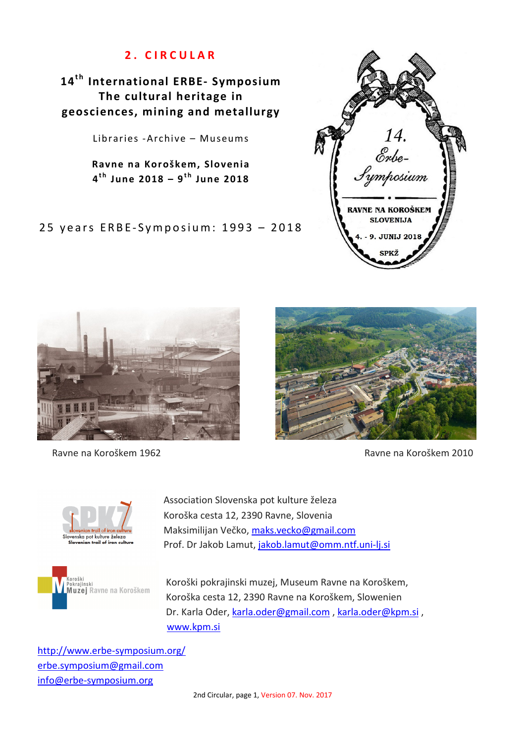# **2 . C I R C U L A R**

14<sup>th</sup> International ERBE- Symposium **The cultural heritage in geosciences, mining and metallurgy** 

Libraries -Archive – Museums

**Ravne na Koroškem, Slovenia 4 t h June 2018 – 9t h June 2018** 

25 years ERBE-Symposium: 1993 - 2018





Ravne na Koroškem 1962 **Ravne na Koroškem 2010** 







Association Slovenska pot kulture železa Koroška cesta 12, 2390 Ravne, Slovenia Maksimilijan Večko, maks.vecko@gmail.com Prof. Dr Jakob Lamut, jakob.lamut@omm.ntf.uni-lj.si

Koroški pokrajinski muzej, Museum Ravne na Koroškem, Koroška cesta 12, 2390 Ravne na Koroškem, Slowenien Dr. Karla Oder, karla.oder@gmail.com , karla.oder@kpm.si , www.kpm.si

http://www.erbe-symposium.org/ erbe.symposium@gmail.com info@erbe-symposium.org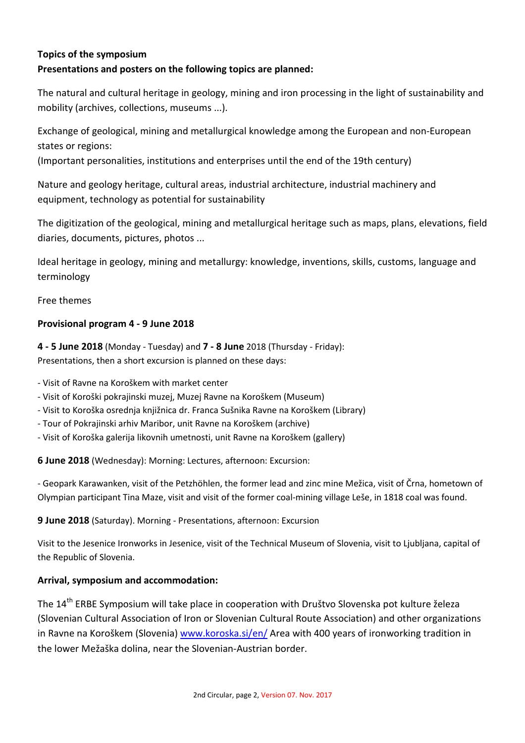## **Topics of the symposium**

#### **Presentations and posters on the following topics are planned:**

The natural and cultural heritage in geology, mining and iron processing in the light of sustainability and mobility (archives, collections, museums ...).

Exchange of geological, mining and metallurgical knowledge among the European and non-European states or regions:

(Important personalities, institutions and enterprises until the end of the 19th century)

Nature and geology heritage, cultural areas, industrial architecture, industrial machinery and equipment, technology as potential for sustainability

The digitization of the geological, mining and metallurgical heritage such as maps, plans, elevations, field diaries, documents, pictures, photos ...

Ideal heritage in geology, mining and metallurgy: knowledge, inventions, skills, customs, language and terminology

Free themes

#### **Provisional program 4 - 9 June 2018**

**4 - 5 June 2018** (Monday - Tuesday) and **7 - 8 June** 2018 (Thursday - Friday): Presentations, then a short excursion is planned on these days:

- Visit of Ravne na Koroškem with market center

- Visit of Koroški pokrajinski muzej, Muzej Ravne na Koroškem (Museum)
- Visit to Koroška osrednja knjižnica dr. Franca Sušnika Ravne na Koroškem (Library)
- Tour of Pokrajinski arhiv Maribor, unit Ravne na Koroškem (archive)
- Visit of Koroška galerija likovnih umetnosti, unit Ravne na Koroškem (gallery)

**6 June 2018** (Wednesday): Morning: Lectures, afternoon: Excursion:

- Geopark Karawanken, visit of the Petzhöhlen, the former lead and zinc mine Mežica, visit of Črna, hometown of Olympian participant Tina Maze, visit and visit of the former coal-mining village Leše, in 1818 coal was found.

**9 June 2018** (Saturday). Morning - Presentations, afternoon: Excursion

Visit to the Jesenice Ironworks in Jesenice, visit of the Technical Museum of Slovenia, visit to Ljubljana, capital of the Republic of Slovenia.

#### **Arrival, symposium and accommodation:**

The 14<sup>th</sup> ERBE Symposium will take place in cooperation with Društvo Slovenska pot kulture železa (Slovenian Cultural Association of Iron or Slovenian Cultural Route Association) and other organizations in Ravne na Koroškem (Slovenia) www.koroska.si/en/ Area with 400 years of ironworking tradition in the lower Mežaška dolina, near the Slovenian-Austrian border.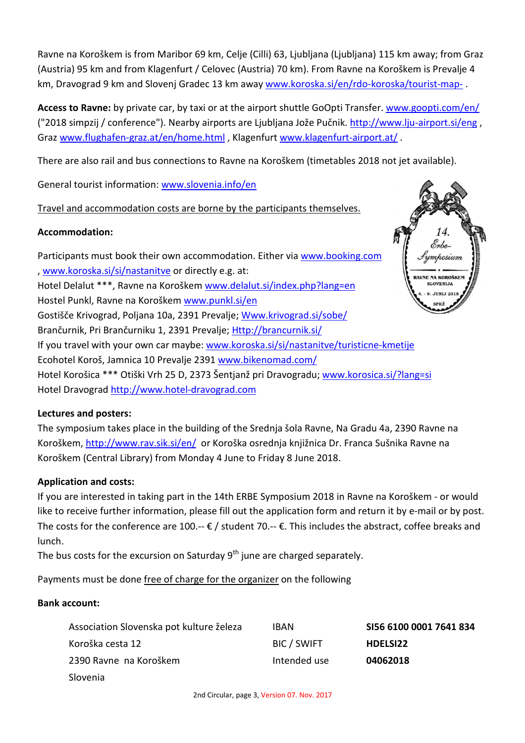Ravne na Koroškem is from Maribor 69 km, Celje (Cilli) 63, Ljubljana (Ljubljana) 115 km away; from Graz (Austria) 95 km and from Klagenfurt / Celovec (Austria) 70 km). From Ravne na Koroškem is Prevalje 4 km, Dravograd 9 km and Slovenj Gradec 13 km away www.koroska.si/en/rdo-koroska/tourist-map-.

**Access to Ravne:** by private car, by taxi or at the airport shuttle GoOpti Transfer. www.goopti.com/en/ ("2018 simpzij / conference"). Nearby airports are Ljubljana Jože Pučnik. http://www.lju-airport.si/eng , Graz www.flughafen-graz.at/en/home.html , Klagenfurt www.klagenfurt-airport.at/ .

There are also rail and bus connections to Ravne na Koroškem (timetables 2018 not jet available).

General tourist information: www.slovenia.info/en

## Travel and accommodation costs are borne by the participants themselves.

## **Accommodation:**

Participants must book their own accommodation. Either via www.booking.com , www.koroska.si/si/nastanitve or directly e.g. at: Hotel Delalut \*\*\*, Ravne na Koroškem www.delalut.si/index.php?lang=en Hostel Punkl, Ravne na Koroškem www.punkl.si/en Gostišče Krivograd, Poljana 10a, 2391 Prevalje; Www.krivograd.si/sobe/ Brančurnik, Pri Brančurniku 1, 2391 Prevalje; Http://brancurnik.si/ If you travel with your own car maybe: www.koroska.si/si/nastanitve/turisticne-kmetije Ecohotel Koroš, Jamnica 10 Prevalje 2391 www.bikenomad.com/ Hotel Korošica \*\*\* Otiški Vrh 25 D, 2373 Šentjanž pri Dravogradu; www.korosica.si/?lang=si Hotel Dravograd http://www.hotel-dravograd.com

## **Lectures and posters:**

The symposium takes place in the building of the Srednja šola Ravne, Na Gradu 4a, 2390 Ravne na Koroškem, http://www.rav.sik.si/en/ or Koroška osrednja knjižnica Dr. Franca Sušnika Ravne na Koroškem (Central Library) from Monday 4 June to Friday 8 June 2018.

## **Application and costs:**

If you are interested in taking part in the 14th ERBE Symposium 2018 in Ravne na Koroškem - or would like to receive further information, please fill out the application form and return it by e-mail or by post. The costs for the conference are 100.--  $\epsilon$  / student 70.--  $\epsilon$ . This includes the abstract, coffee breaks and lunch.

The bus costs for the excursion on Saturday  $9<sup>th</sup>$  june are charged separately.

Payments must be done free of charge for the organizer on the following

#### **Bank account:**

| Association Slovenska pot kulture železa | <b>IBAN</b>  | SI56 6100 0001 7641 834 |
|------------------------------------------|--------------|-------------------------|
| Koroška cesta 12                         | BIC / SWIFT  | <b>HDELSI22</b>         |
| 2390 Ravne na Koroškem                   | Intended use | 04062018                |
| Slovenia                                 |              |                         |